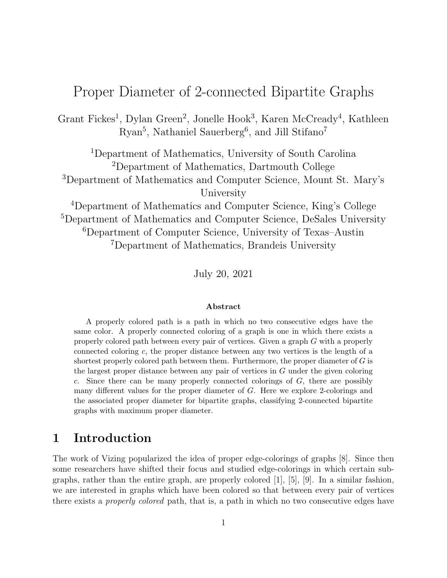# Proper Diameter of 2-connected Bipartite Graphs

Grant Fickes<sup>1</sup>, Dylan Green<sup>2</sup>, Jonelle Hook<sup>3</sup>, Karen McCready<sup>4</sup>, Kathleen Ryan<sup>5</sup>, Nathaniel Sauerberg<sup>6</sup>, and Jill Stifano<sup>7</sup>

Department of Mathematics, University of South Carolina Department of Mathematics, Dartmouth College Department of Mathematics and Computer Science, Mount St. Mary's University

Department of Mathematics and Computer Science, King's College <sup>5</sup>Department of Mathematics and Computer Science, DeSales University Department of Computer Science, University of Texas–Austin Department of Mathematics, Brandeis University

July 20, 2021

#### Abstract

A properly colored path is a path in which no two consecutive edges have the same color. A properly connected coloring of a graph is one in which there exists a properly colored path between every pair of vertices. Given a graph G with a properly connected coloring c, the proper distance between any two vertices is the length of a shortest properly colored path between them. Furthermore, the proper diameter of  $G$  is the largest proper distance between any pair of vertices in  $G$  under the given coloring c. Since there can be many properly connected colorings of  $G$ , there are possibly many different values for the proper diameter of G. Here we explore 2-colorings and the associated proper diameter for bipartite graphs, classifying 2-connected bipartite graphs with maximum proper diameter.

### 1 Introduction

The work of Vizing popularized the idea of proper edge-colorings of graphs [8]. Since then some researchers have shifted their focus and studied edge-colorings in which certain subgraphs, rather than the entire graph, are properly colored [1], [5], [9]. In a similar fashion, we are interested in graphs which have been colored so that between every pair of vertices there exists a properly colored path, that is, a path in which no two consecutive edges have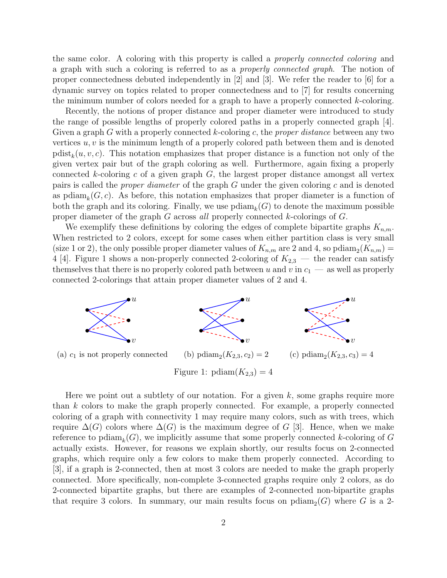the same color. A coloring with this property is called a properly connected coloring and a graph with such a coloring is referred to as a properly connected graph. The notion of proper connectedness debuted independently in [2] and [3]. We refer the reader to [6] for a dynamic survey on topics related to proper connectedness and to [7] for results concerning the minimum number of colors needed for a graph to have a properly connected k-coloring.

Recently, the notions of proper distance and proper diameter were introduced to study the range of possible lengths of properly colored paths in a properly connected graph [4]. Given a graph  $G$  with a properly connected  $k$ -coloring  $c$ , the *proper distance* between any two vertices  $u, v$  is the minimum length of a properly colored path between them and is denoted  $\text{pdist}_k(u, v, c)$ . This notation emphasizes that proper distance is a function not only of the given vertex pair but of the graph coloring as well. Furthermore, again fixing a properly connected k-coloring c of a given graph  $G$ , the largest proper distance amongst all vertex pairs is called the *proper diameter* of the graph  $G$  under the given coloring  $c$  and is denoted as pdia $m_k(G, c)$ . As before, this notation emphasizes that proper diameter is a function of both the graph and its coloring. Finally, we use  $\text{pdiam}_k(G)$  to denote the maximum possible proper diameter of the graph G across all properly connected k-colorings of G.

We exemplify these definitions by coloring the edges of complete bipartite graphs  $K_{n,m}$ . When restricted to 2 colors, except for some cases when either partition class is very small (size 1 or 2), the only possible proper diameter values of  $K_{n,m}$  are 2 and 4, so pdiam<sub>2</sub>( $K_{n,m}$ ) = 4 [4]. Figure 1 shows a non-properly connected 2-coloring of  $K_{2,3}$  — the reader can satisfy themselves that there is no properly colored path between u and v in  $c_1$  — as well as properly connected 2-colorings that attain proper diameter values of 2 and 4.



Here we point out a subtlety of our notation. For a given  $k$ , some graphs require more than k colors to make the graph properly connected. For example, a properly connected coloring of a graph with connectivity 1 may require many colors, such as with trees, which require  $\Delta(G)$  colors where  $\Delta(G)$  is the maximum degree of G [3]. Hence, when we make reference to pdia $m_k(G)$ , we implicitly assume that some properly connected k-coloring of G actually exists. However, for reasons we explain shortly, our results focus on 2-connected graphs, which require only a few colors to make them properly connected. According to [3], if a graph is 2-connected, then at most 3 colors are needed to make the graph properly connected. More specifically, non-complete 3-connected graphs require only 2 colors, as do 2-connected bipartite graphs, but there are examples of 2-connected non-bipartite graphs that require 3 colors. In summary, our main results focus on  $\text{p}diam_2(G)$  where G is a 2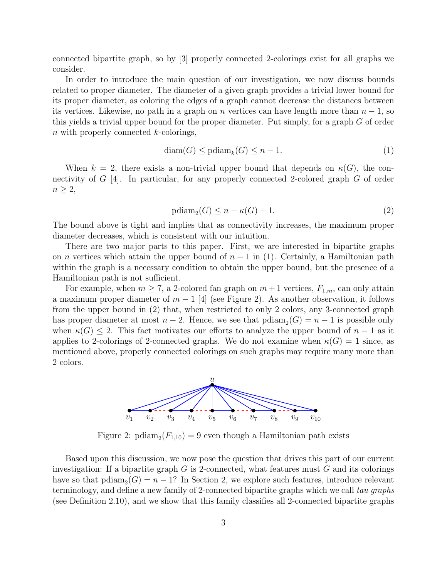connected bipartite graph, so by [3] properly connected 2-colorings exist for all graphs we consider.

In order to introduce the main question of our investigation, we now discuss bounds related to proper diameter. The diameter of a given graph provides a trivial lower bound for its proper diameter, as coloring the edges of a graph cannot decrease the distances between its vertices. Likewise, no path in a graph on n vertices can have length more than  $n-1$ , so this yields a trivial upper bound for the proper diameter. Put simply, for a graph G of order  $n$  with properly connected  $k$ -colorings,

$$
diam(G) \leq pdiamk(G) \leq n - 1.
$$
\n(1)

When  $k = 2$ , there exists a non-trivial upper bound that depends on  $\kappa(G)$ , the connectivity of  $G$  [4]. In particular, for any properly connected 2-colored graph  $G$  of order  $n \geq 2$ ,

$$
\text{pdiam}_2(G) \le n - \kappa(G) + 1. \tag{2}
$$

The bound above is tight and implies that as connectivity increases, the maximum proper diameter decreases, which is consistent with our intuition.

There are two major parts to this paper. First, we are interested in bipartite graphs on *n* vertices which attain the upper bound of  $n - 1$  in (1). Certainly, a Hamiltonian path within the graph is a necessary condition to obtain the upper bound, but the presence of a Hamiltonian path is not sufficient.

For example, when  $m \geq 7$ , a 2-colored fan graph on  $m+1$  vertices,  $F_{1,m}$ , can only attain a maximum proper diameter of  $m-1$  [4] (see Figure 2). As another observation, it follows from the upper bound in (2) that, when restricted to only 2 colors, any 3-connected graph has proper diameter at most  $n-2$ . Hence, we see that  $\text{p}diam_2(G) = n-1$  is possible only when  $\kappa(G) \leq 2$ . This fact motivates our efforts to analyze the upper bound of  $n-1$  as it applies to 2-colorings of 2-connected graphs. We do not examine when  $\kappa(G) = 1$  since, as mentioned above, properly connected colorings on such graphs may require many more than 2 colors.



Figure 2:  $\text{pdiam}_2(F_{1,10}) = 9$  even though a Hamiltonian path exists

Based upon this discussion, we now pose the question that drives this part of our current investigation: If a bipartite graph  $G$  is 2-connected, what features must  $G$  and its colorings have so that  $\text{p} \text{diam}_2(G) = n - 1$ ? In Section 2, we explore such features, introduce relevant terminology, and define a new family of 2-connected bipartite graphs which we call tau graphs (see Definition 2.10), and we show that this family classifies all 2-connected bipartite graphs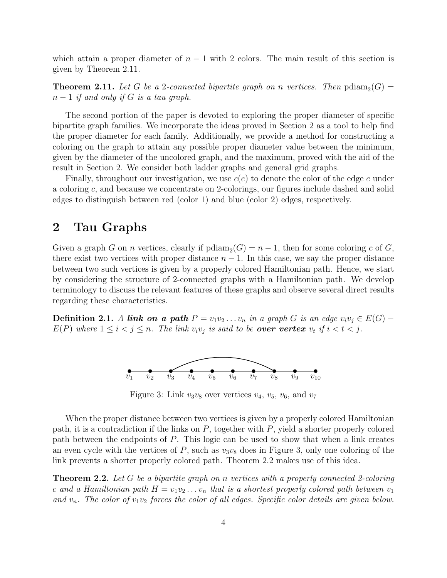which attain a proper diameter of  $n-1$  with 2 colors. The main result of this section is given by Theorem 2.11.

**Theorem 2.11.** Let G be a 2-connected bipartite graph on n vertices. Then  $\text{pdiam}_2(G)$  =  $n-1$  if and only if G is a tau graph.

The second portion of the paper is devoted to exploring the proper diameter of specific bipartite graph families. We incorporate the ideas proved in Section 2 as a tool to help find the proper diameter for each family. Additionally, we provide a method for constructing a coloring on the graph to attain any possible proper diameter value between the minimum, given by the diameter of the uncolored graph, and the maximum, proved with the aid of the result in Section 2. We consider both ladder graphs and general grid graphs.

Finally, throughout our investigation, we use  $c(e)$  to denote the color of the edge e under a coloring c, and because we concentrate on 2-colorings, our figures include dashed and solid edges to distinguish between red (color 1) and blue (color 2) edges, respectively.

### 2 Tau Graphs

Given a graph G on n vertices, clearly if  $\text{p}diam_2(G) = n - 1$ , then for some coloring c of G, there exist two vertices with proper distance  $n-1$ . In this case, we say the proper distance between two such vertices is given by a properly colored Hamiltonian path. Hence, we start by considering the structure of 2-connected graphs with a Hamiltonian path. We develop terminology to discuss the relevant features of these graphs and observe several direct results regarding these characteristics.

Definition 2.1. A link on a path  $P = v_1v_2 \ldots v_n$  in a graph G is an edge  $v_iv_j \in E(G)$  –  $E(P)$  where  $1 \leq i < j \leq n$ . The link  $v_i v_j$  is said to be **over vertex**  $v_t$  if  $i < t < j$ .



Figure 3: Link  $v_3v_8$  over vertices  $v_4$ ,  $v_5$ ,  $v_6$ , and  $v_7$ 

When the proper distance between two vertices is given by a properly colored Hamiltonian path, it is a contradiction if the links on  $P$ , together with  $P$ , yield a shorter properly colored path between the endpoints of P. This logic can be used to show that when a link creates an even cycle with the vertices of  $P$ , such as  $v_3v_8$  does in Figure 3, only one coloring of the link prevents a shorter properly colored path. Theorem 2.2 makes use of this idea.

Theorem 2.2. Let G be a bipartite graph on n vertices with a properly connected 2-coloring c and a Hamiltonian path  $H = v_1v_2 \ldots v_n$  that is a shortest properly colored path between  $v_1$ and  $v_n$ . The color of  $v_1v_2$  forces the color of all edges. Specific color details are given below.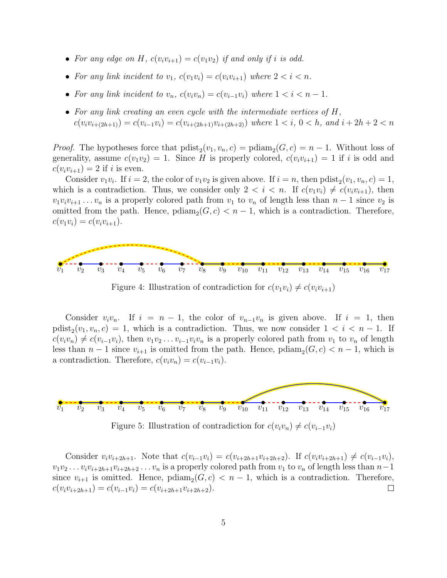- For any edge on H,  $c(v_iv_{i+1}) = c(v_1v_2)$  if and only if i is odd.
- For any link incident to  $v_1$ ,  $c(v_1v_i) = c(v_iv_{i+1})$  where  $2 < i < n$ .
- For any link incident to  $v_n$ ,  $c(v_i v_n) = c(v_{i-1}v_i)$  where  $1 < i < n-1$ .
- For any link creating an even cycle with the intermediate vertices of H,  $c(v_i v_{i+(2h+1)}) = c(v_{i-1}v_i) = c(v_{i+(2h+1)}v_{i+(2h+2)})$  where  $1 \lt i, 0 \lt h$ , and  $i+2h+2 \lt n$

*Proof.* The hypotheses force that  $\text{pdist}_2(v_1, v_n, c) = \text{pdiam}_2(G, c) = n - 1$ . Without loss of generality, assume  $c(v_1v_2) = 1$ . Since H is properly colored,  $c(v_iv_{i+1}) = 1$  if i is odd and  $c(v_i v_{i+1}) = 2$  if i is even.

Consider  $v_1v_i$ . If  $i = 2$ , the color of  $v_1v_2$  is given above. If  $i = n$ , then  $\text{pdist}_2(v_1, v_n, c) = 1$ , which is a contradiction. Thus, we consider only  $2 < i < n$ . If  $c(v_1v_i) \neq c(v_iv_{i+1})$ , then  $v_1v_iv_{i+1} \ldots v_n$  is a properly colored path from  $v_1$  to  $v_n$  of length less than  $n-1$  since  $v_2$  is omitted from the path. Hence,  $\text{p} \text{diam}_2(G, c) < n - 1$ , which is a contradiction. Therefore,  $c(v_1v_i) = c(v_iv_{i+1}).$ 



Figure 4: Illustration of contradiction for  $c(v_1v_i) \neq c(v_iv_{i+1})$ 

Consider  $v_i v_n$ . If  $i = n - 1$ , the color of  $v_{n-1}v_n$  is given above. If  $i = 1$ , then  $\text{pdist}_2(v_1, v_n, c) = 1$ , which is a contradiction. Thus, we now consider  $1 < i < n - 1$ . If  $c(v_i v_n) \neq c(v_{i-1}v_i)$ , then  $v_1v_2 \ldots v_{i-1}v_i v_n$  is a properly colored path from  $v_1$  to  $v_n$  of length less than  $n-1$  since  $v_{i+1}$  is omitted from the path. Hence,  $\text{p}diam_2(G, c) < n-1$ , which is a contradiction. Therefore,  $c(v_i v_n) = c(v_{i-1}v_i)$ .



Figure 5: Illustration of contradiction for  $c(v_i v_n) \neq c(v_{i-1}v_i)$ 

Consider  $v_i v_{i+2h+1}$ . Note that  $c(v_{i-1}v_i) = c(v_{i+2h+1}v_{i+2h+2})$ . If  $c(v_i v_{i+2h+1}) \neq c(v_{i-1}v_i)$ ,  $v_1v_2 \ldots v_i v_{i+2h+1}v_{i+2h+2} \ldots v_n$  is a properly colored path from  $v_1$  to  $v_n$  of length less than  $n-1$ since  $v_{i+1}$  is omitted. Hence,  $\text{p}diam_2(G, c) < n-1$ , which is a contradiction. Therefore,  $c(v_i v_{i+2h+1}) = c(v_{i-1}v_i) = c(v_{i+2h+1}v_{i+2h+2}).$  $\Box$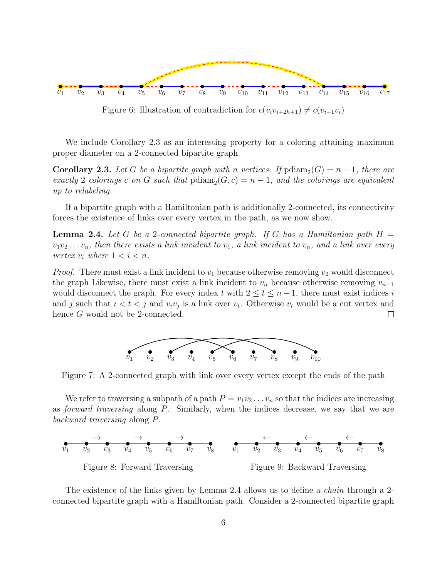

Figure 6: Illustration of contradiction for  $c(v_i v_{i+2h+1}) \neq c(v_{i-1}v_i)$ 

We include Corollary 2.3 as an interesting property for a coloring attaining maximum proper diameter on a 2-connected bipartite graph.

**Corollary 2.3.** Let G be a bipartite graph with n vertices. If  $\text{p} \text{diam}_2(G) = n - 1$ , there are exactly 2 colorings c on G such that  $\text{pdim}_2(G, c) = n - 1$ , and the colorings are equivalent up to relabeling.

If a bipartite graph with a Hamiltonian path is additionally 2-connected, its connectivity forces the existence of links over every vertex in the path, as we now show.

**Lemma 2.4.** Let G be a 2-connected bipartite graph. If G has a Hamiltonian path  $H =$  $v_1v_2 \ldots v_n$ , then there exists a link incident to  $v_1$ , a link incident to  $v_n$ , and a link over every vertex  $v_i$  where  $1 < i < n$ .

*Proof.* There must exist a link incident to  $v_1$  because otherwise removing  $v_2$  would disconnect the graph Likewise, there must exist a link incident to  $v_n$  because otherwise removing  $v_{n-1}$ would disconnect the graph. For every index t with  $2 \le t \le n-1$ , there must exist indices i and j such that  $i < t < j$  and  $v_i v_j$  is a link over  $v_t$ . Otherwise  $v_t$  would be a cut vertex and hence G would not be 2-connected.  $\Box$ 



Figure 7: A 2-connected graph with link over every vertex except the ends of the path

We refer to traversing a subpath of a path  $P = v_1v_2 \ldots v_n$  so that the indices are increasing as forward traversing along P. Similarly, when the indices decrease, we say that we are backward traversing along P.



The existence of the links given by Lemma 2.4 allows us to define a *chain* through a 2connected bipartite graph with a Hamiltonian path. Consider a 2-connected bipartite graph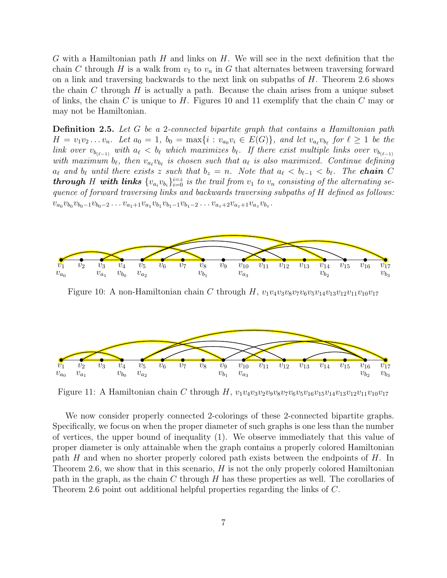G with a Hamiltonian path  $H$  and links on  $H$ . We will see in the next definition that the chain C through H is a walk from  $v_1$  to  $v_n$  in G that alternates between traversing forward on a link and traversing backwards to the next link on subpaths of  $H$ . Theorem 2.6 shows the chain C through H is actually a path. Because the chain arises from a unique subset of links, the chain C is unique to H. Figures 10 and 11 exemplify that the chain C may or may not be Hamiltonian.

**Definition 2.5.** Let G be a 2-connected bipartite graph that contains a Hamiltonian path  $H = v_1v_2...v_n$ . Let  $a_0 = 1$ ,  $b_0 = \max\{i : v_{a_0}v_i \in E(G)\}$ , and let  $v_{a_\ell}v_{b_\ell}$  for  $\ell \geq 1$  be the link over  $v_{b_{(\ell-1)}}$  with  $a_\ell < b_\ell$  which maximizes  $b_\ell$ . If there exist multiple links over  $v_{b_{(\ell-1)}}$ with maximum  $b_\ell$ , then  $v_{a_\ell}v_{b_\ell}$  is chosen such that  $a_\ell$  is also maximized. Continue defining  $a_\ell$  and  $b_\ell$  until there exists z such that  $b_z = n$ . Note that  $a_\ell < b_{\ell-1} < b_\ell$ . The **chain** C **through** H with links  $\{v_{a_i}v_{b_i}\}_{i=0}^{i=z}$  is the trail from  $v_1$  to  $v_n$  consisting of the alternating sequence of forward traversing links and backwards traversing subpaths of H defined as follows:  $v_{a_0}v_{b_0}v_{b_0-1}v_{b_0-2}\ldots v_{a_1+1}v_{a_1}v_{b_1}v_{b_1-1}v_{b_1-2}\ldots v_{a_z+2}v_{a_z+1}v_{a_z}v_{b_z}.$ 



Figure 10: A non-Hamiltonian chain C through H,  $v_1v_4v_3v_8v_7v_6v_5v_{14}v_{13}v_{12}v_{11}v_{10}v_{17}$ 



Figure 11: A Hamiltonian chain C through H,  $v_1v_4v_3v_2v_9v_8v_7v_6v_5v_{16}v_{15}v_{14}v_{13}v_{12}v_{11}v_{10}v_{17}$ 

We now consider properly connected 2-colorings of these 2-connected bipartite graphs. Specifically, we focus on when the proper diameter of such graphs is one less than the number of vertices, the upper bound of inequality (1). We observe immediately that this value of proper diameter is only attainable when the graph contains a properly colored Hamiltonian path  $H$  and when no shorter properly colored path exists between the endpoints of  $H$ . In Theorem 2.6, we show that in this scenario,  $H$  is not the only properly colored Hamiltonian path in the graph, as the chain C through H has these properties as well. The corollaries of Theorem 2.6 point out additional helpful properties regarding the links of C.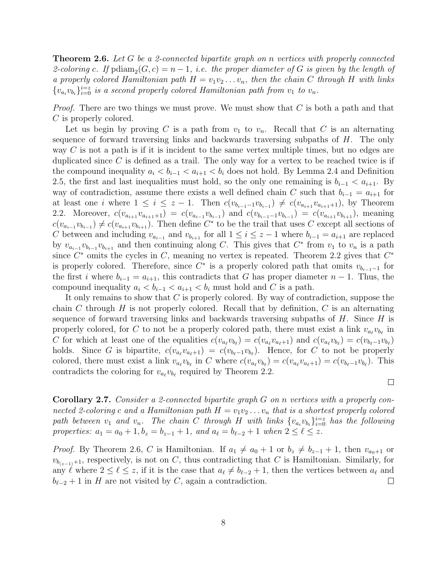**Theorem 2.6.** Let G be a 2-connected bipartite graph on n vertices with properly connected 2-coloring c. If  $\text{p} \text{diam}_2(G, c) = n - 1$ , i.e. the proper diameter of G is given by the length of a properly colored Hamiltonian path  $H = v_1v_2 \ldots v_n$ , then the chain C through H with links  $\{v_{a_i}v_{b_i}\}_{i=0}^{i=z}$  is a second properly colored Hamiltonian path from  $v_1$  to  $v_n$ .

*Proof.* There are two things we must prove. We must show that  $C$  is both a path and that C is properly colored.

Let us begin by proving C is a path from  $v_1$  to  $v_n$ . Recall that C is an alternating sequence of forward traversing links and backwards traversing subpaths of H. The only way  $C$  is not a path is if it is incident to the same vertex multiple times, but no edges are duplicated since  $C$  is defined as a trail. The only way for a vertex to be reached twice is if the compound inequality  $a_i < b_{i-1} < a_{i+1} < b_i$  does not hold. By Lemma 2.4 and Definition 2.5, the first and last inequalities must hold, so the only one remaining is  $b_{i-1} < a_{i+1}$ . By way of contradiction, assume there exists a well defined chain C such that  $b_{i-1} = a_{i+1}$  for at least one *i* where  $1 \leq i \leq z-1$ . Then  $c(v_{b_{i-1}-1}v_{b_{i-1}}) \neq c(v_{a_{i+1}}v_{a_{i+1}+1})$ , by Theorem 2.2. Moreover,  $c(v_{a_{i+1}}v_{a_{i+1}+1}) = c(v_{a_{i-1}}v_{b_{i-1}})$  and  $c(v_{b_{i-1}-1}v_{b_{i-1}}) = c(v_{a_{i+1}}v_{b_{i+1}})$ , meaning  $c(v_{a_{i-1}}v_{b_{i-1}}) \neq c(v_{a_{i+1}}v_{b_{i+1}})$ . Then define  $C^*$  to be the trail that uses C except all sections of C between and including  $v_{a_{i-1}}$  and  $v_{b_{i+1}}$  for all  $1 \leq i \leq z-1$  where  $b_{i-1} = a_{i+1}$  are replaced by  $v_{a_{i-1}}v_{b_{i-1}}v_{b_{i+1}}$  and then continuing along C. This gives that  $C^*$  from  $v_1$  to  $v_n$  is a path since  $C^*$  omits the cycles in C, meaning no vertex is repeated. Theorem 2.2 gives that  $C^*$ is properly colored. Therefore, since  $C^*$  is a properly colored path that omits  $v_{b_{i-1}-1}$  for the first i where  $b_{i-1} = a_{i+1}$ , this contradicts that G has proper diameter  $n-1$ . Thus, the compound inequality  $a_i < b_{i-1} < a_{i+1} < b_i$  must hold and C is a path.

It only remains to show that  $C$  is properly colored. By way of contradiction, suppose the chain C through  $H$  is not properly colored. Recall that by definition,  $C$  is an alternating sequence of forward traversing links and backwards traversing subpaths of  $H$ . Since  $H$  is properly colored, for C to not be a properly colored path, there must exist a link  $v_{a_\ell}v_{b_\ell}$  in C for which at least one of the equalities  $c(v_{a_\ell}v_{b_\ell}) = c(v_{a_\ell}v_{a_\ell+1})$  and  $c(v_{a_\ell}v_{b_\ell}) = c(v_{b_\ell-1}v_{b_\ell})$ holds. Since G is bipartite,  $c(v_{a_\ell}v_{a_\ell+1}) = c(v_{b_\ell-1}v_{b_\ell})$ . Hence, for C to not be properly colored, there must exist a link  $v_{a_\ell}v_{b_\ell}$  in C where  $c(v_{a_\ell}v_{b_\ell}) = c(v_{a_\ell}v_{a_\ell+1}) = c(v_{b_\ell-1}v_{b_\ell})$ . This contradicts the coloring for  $v_{a_\ell}v_{b_\ell}$  required by Theorem 2.2.

Corollary 2.7. Consider a 2-connected bipartite graph G on n vertices with a properly connected 2-coloring c and a Hamiltonian path  $H = v_1v_2 \ldots v_n$  that is a shortest properly colored path between  $v_1$  and  $v_n$ . The chain C through H with links  $\{v_{a_i}v_{b_i}\}_{i=0}^{i=z}$  has the following properties:  $a_1 = a_0 + 1, b_z = b_{z-1} + 1$ , and  $a_\ell = b_{\ell-2} + 1$  when  $2 \leq \ell \leq z$ .

 $\Box$ 

*Proof.* By Theorem 2.6, C is Hamiltonian. If  $a_1 \neq a_0 + 1$  or  $b_z \neq b_{z-1} + 1$ , then  $v_{a_0+1}$  or  $v_{b_{(z-1)}+1}$ , respectively, is not on C, thus contradicting that C is Hamiltonian. Similarly, for any  $\ell$  where  $2 \leq \ell \leq z$ , if it is the case that  $a_{\ell} \neq b_{\ell-2} + 1$ , then the vertices between  $a_{\ell}$  and  $b_{\ell-2} + 1$  in H are not visited by C, again a contradiction.  $\Box$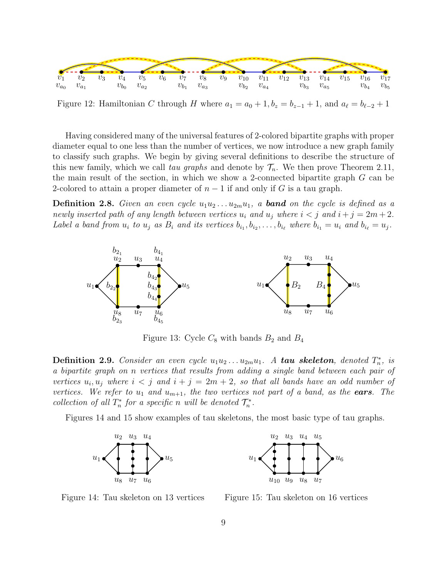

Figure 12: Hamiltonian C through H where  $a_1 = a_0 + 1$ ,  $b_z = b_{z-1} + 1$ , and  $a_\ell = b_{\ell-2} + 1$ 

Having considered many of the universal features of 2-colored bipartite graphs with proper diameter equal to one less than the number of vertices, we now introduce a new graph family to classify such graphs. We begin by giving several definitions to describe the structure of this new family, which we call tau graphs and denote by  $\mathcal{T}_n$ . We then prove Theorem 2.11, the main result of the section, in which we show a 2-connected bipartite graph G can be 2-colored to attain a proper diameter of  $n-1$  if and only if G is a tau graph.

**Definition 2.8.** Given an even cycle  $u_1u_2 \ldots u_{2m}u_1$ , a **band** on the cycle is defined as a newly inserted path of any length between vertices  $u_i$  and  $u_j$  where  $i < j$  and  $i + j = 2m + 2$ . Label a band from  $u_i$  to  $u_j$  as  $B_i$  and its vertices  $b_{i_1}, b_{i_2}, \ldots, b_{i_\ell}$  where  $b_{i_1} = u_i$  and  $b_{i_\ell} = u_j$ .



Figure 13: Cycle  $C_8$  with bands  $B_2$  and  $B_4$ 

**Definition 2.9.** Consider an even cycle  $u_1u_2 \ldots u_{2m}u_1$ . A **tau skeleton**, denoted  $T_n^*$ , is a bipartite graph on n vertices that results from adding a single band between each pair of vertices  $u_i, u_j$  where  $i < j$  and  $i + j = 2m + 2$ , so that all bands have an odd number of vertices. We refer to  $u_1$  and  $u_{m+1}$ , the two vertices not part of a band, as the **ears**. The collection of all  $T_n^*$  for a specific n will be denoted  $\mathcal{T}_n^*$ .

Figures 14 and 15 show examples of tau skeletons, the most basic type of tau graphs.





Figure 14: Tau skeleton on 13 vertices

Figure 15: Tau skeleton on 16 vertices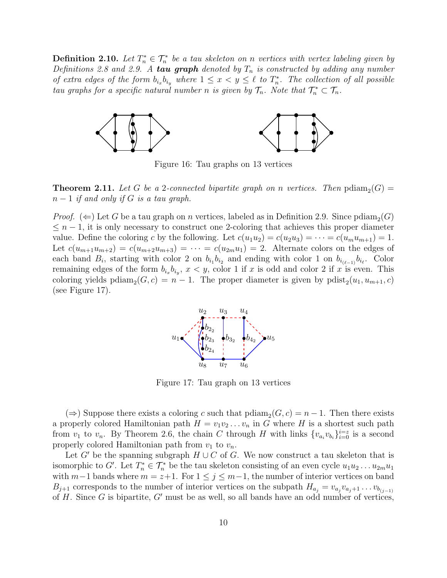**Definition 2.10.** Let  $T_n^* \in \mathcal{T}_n^*$  be a tau skeleton on n vertices with vertex labeling given by Definitions 2.8 and 2.9. A tau graph denoted by  $T_n$  is constructed by adding any number of extra edges of the form  $b_{i_x}b_{i_y}$  where  $1 \leq x < y \leq \ell$  to  $T_n^*$ . The collection of all possible tau graphs for a specific natural number n is given by  $\mathcal{T}_n$ . Note that  $\mathcal{T}_n^* \subset \mathcal{T}_n$ .



Figure 16: Tau graphs on 13 vertices

**Theorem 2.11.** Let G be a 2-connected bipartite graph on n vertices. Then  $\text{pdiam}_2(G)$  =  $n-1$  if and only if G is a tau graph.

*Proof.* ( $\Leftarrow$ ) Let G be a tau graph on n vertices, labeled as in Definition 2.9. Since pdiam<sub>2</sub>(G)  $\leq n-1$ , it is only necessary to construct one 2-coloring that achieves this proper diameter value. Define the coloring c by the following. Let  $c(u_1u_2) = c(u_2u_3) = \cdots = c(u_mu_{m+1}) = 1$ . Let  $c(u_{m+1}u_{m+2}) = c(u_{m+2}u_{m+3}) = \cdots = c(u_{2m}u_1) = 2$ . Alternate colors on the edges of each band  $B_i$ , starting with color 2 on  $b_{i_1}b_{i_2}$  and ending with color 1 on  $b_{i_{(\ell-1)}}b_{i_\ell}$ . Color remaining edges of the form  $b_{i_x}b_{i_y}$ ,  $x < y$ , color 1 if x is odd and color 2 if x is even. This coloring yields  $\text{pdiam}_2(G, c) = n - 1$ . The proper diameter is given by  $\text{pdist}_2(u_1, u_{m+1}, c)$ (see Figure 17).



Figure 17: Tau graph on 13 vertices

(⇒) Suppose there exists a coloring c such that  $\text{pdiam}_2(G, c) = n - 1$ . Then there exists a properly colored Hamiltonian path  $H = v_1v_2 \ldots v_n$  in G where H is a shortest such path from  $v_1$  to  $v_n$ . By Theorem 2.6, the chain C through H with links  $\{v_{a_i}v_{b_i}\}_{i=0}^{i=z}$  is a second properly colored Hamiltonian path from  $v_1$  to  $v_n$ .

Let G' be the spanning subgraph  $H \cup C$  of G. We now construct a tau skeleton that is isomorphic to G'. Let  $T_n^* \in \mathcal{T}_n^*$  be the tau skeleton consisting of an even cycle  $u_1u_2 \ldots u_{2m}u_1$ with  $m-1$  bands where  $m = z+1$ . For  $1 \le j \le m-1$ , the number of interior vertices on band  $B_{j+1}$  corresponds to the number of interior vertices on the subpath  $H_{a_j} = v_{a_j}v_{a_j+1} \ldots v_{b(j-1)}$ of H. Since G is bipartite,  $G'$  must be as well, so all bands have an odd number of vertices,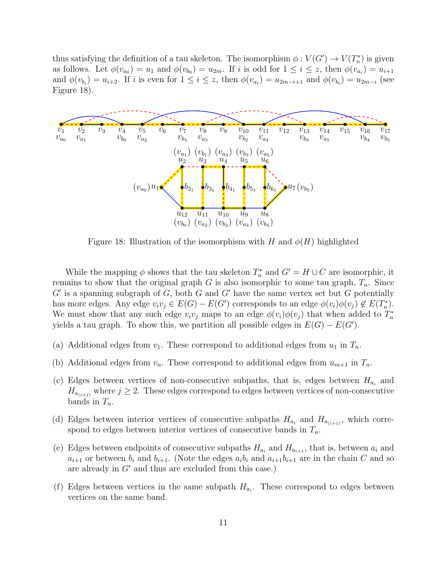thus satisfying the definition of a tau skeleton. The isomorphism  $\phi: V(G') \to V(T_n^*)$  is given as follows. Let  $\phi(v_{a_0}) = u_1$  and  $\phi(v_{b_0}) = u_{2m}$ . If i is odd for  $1 \leq i \leq z$ , then  $\phi(v_{a_i}) = u_{i+1}$ and  $\phi(v_{b_i}) = u_{i+2}$ . If i is even for  $1 \leq i \leq z$ , then  $\phi(v_{a_i}) = u_{2m-i+1}$  and  $\phi(v_{b_i}) = u_{2m-i}$  (see Figure 18).



Figure 18: Illustration of the isomorphism with H and  $\phi(H)$  highlighted

While the mapping  $\phi$  shows that the tau skeleton  $T_n^*$  and  $G' = H \cup C$  are isomorphic, it remains to show that the original graph G is also isomorphic to some tau graph,  $T_n$ . Since  $G'$  is a spanning subgraph of  $G$ , both  $G$  and  $G'$  have the same vertex set but  $G$  potentially has more edges. Any edge  $v_i v_j \in E(G) - E(G')$  corresponds to an edge  $\phi(v_i)\phi(v_j) \notin E(T_n^*)$ . We must show that any such edge  $v_i v_j$  maps to an edge  $\phi(v_i) \phi(v_j)$  that when added to  $T_n^*$ yields a tau graph. To show this, we partition all possible edges in  $E(G) - E(G')$ .

- (a) Additional edges from  $v_1$ . These correspond to additional edges from  $u_1$  in  $T_n$ .
- (b) Additional edges from  $v_n$ . These correspond to additional edges from  $u_{m+1}$  in  $T_n$ .
- (c) Edges between vertices of non-consecutive subpaths, that is, edges between  $H_{a_i}$  and  $H_{a_{(i+j)}}$  where  $j \geq 2$ . These edges correspond to edges between vertices of non-consecutive bands in  $T_n$ .
- (d) Edges between interior vertices of consecutive subpaths  $H_{a_i}$  and  $H_{a_{(i+1)}}$ , which correspond to edges between interior vertices of consecutive bands in  $T_n$ .
- (e) Edges between endpoints of consecutive subpaths  $H_{a_i}$  and  $H_{a_{i+1}}$ , that is, between  $a_i$  and  $a_{i+1}$  or between  $b_i$  and  $b_{i+1}$ . (Note the edges  $a_i b_i$  and  $a_{i+1} b_{i+1}$  are in the chain C and so are already in  $G'$  and thus are excluded from this case.)
- (f) Edges between vertices in the same subpath  $H_{a_i}$ . These correspond to edges between vertices on the same band.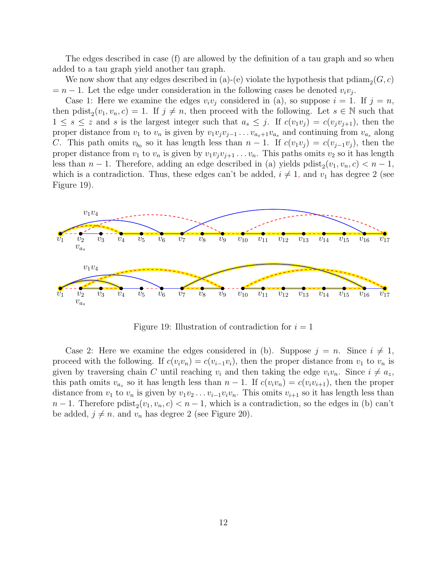The edges described in case (f) are allowed by the definition of a tau graph and so when added to a tau graph yield another tau graph.

We now show that any edges described in (a)-(e) violate the hypothesis that  $\text{pdiam}_2(G, c)$  $=n-1$ . Let the edge under consideration in the following cases be denoted  $v_i v_j$ .

Case 1: Here we examine the edges  $v_i v_j$  considered in (a), so suppose  $i = 1$ . If  $j = n$ , then pdist<sub>2</sub> $(v_1, v_n, c) = 1$ . If  $j \neq n$ , then proceed with the following. Let  $s \in \mathbb{N}$  such that  $1 \leq s \leq z$  and s is the largest integer such that  $a_s \leq j$ . If  $c(v_1v_j) = c(v_jv_{j+1})$ , then the proper distance from  $v_1$  to  $v_n$  is given by  $v_1v_jv_{j-1} \ldots v_{a_s+1}v_{a_s}$  and continuing from  $v_{a_s}$  along C. This path omits  $v_{b_0}$  so it has length less than  $n-1$ . If  $c(v_1v_j) = c(v_{j-1}v_j)$ , then the proper distance from  $v_1$  to  $v_n$  is given by  $v_1v_jv_{j+1} \ldots v_n$ . This paths omits  $v_2$  so it has length less than  $n-1$ . Therefore, adding an edge described in (a) yields  $\text{pdist}_2(v_1, v_n, c) < n-1$ , which is a contradiction. Thus, these edges can't be added,  $i \neq 1$ , and  $v_1$  has degree 2 (see Figure 19).



Figure 19: Illustration of contradiction for  $i = 1$ 

Case 2: Here we examine the edges considered in (b). Suppose  $j = n$ . Since  $i \neq 1$ , proceed with the following. If  $c(v_i v_n) = c(v_{i-1}v_i)$ , then the proper distance from  $v_1$  to  $v_n$  is given by traversing chain C until reaching  $v_i$  and then taking the edge  $v_i v_n$ . Since  $i \neq a_z$ , this path omits  $v_{a_z}$  so it has length less than  $n-1$ . If  $c(v_i v_n) = c(v_i v_{i+1})$ , then the proper distance from  $v_1$  to  $v_n$  is given by  $v_1v_2 \ldots v_{i-1}v_iv_n$ . This omits  $v_{i+1}$  so it has length less than  $n-1$ . Therefore  $\text{pdist}_2(v_1, v_n, c) < n-1$ , which is a contradiction, so the edges in (b) can't be added,  $j \neq n$ , and  $v_n$  has degree 2 (see Figure 20).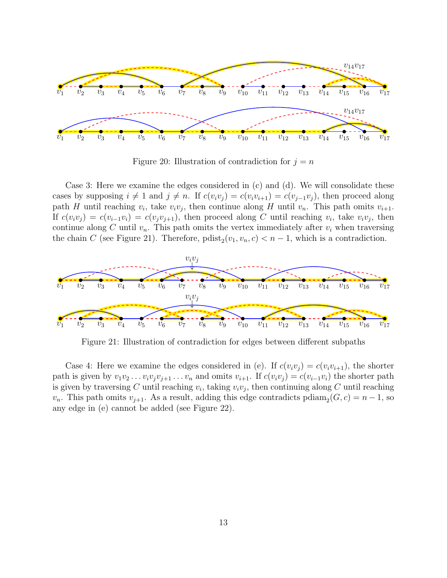

Figure 20: Illustration of contradiction for  $j = n$ 

Case 3: Here we examine the edges considered in (c) and (d). We will consolidate these cases by supposing  $i \neq 1$  and  $j \neq n$ . If  $c(v_i v_j) = c(v_i v_{i+1}) = c(v_{j-1}v_j)$ , then proceed along path H until reaching  $v_i$ , take  $v_i v_j$ , then continue along H until  $v_n$ . This path omits  $v_{i+1}$ . If  $c(v_i v_j) = c(v_{i-1}v_i) = c(v_j v_{j+1})$ , then proceed along C until reaching  $v_i$ , take  $v_i v_j$ , then continue along C until  $v_n$ . This path omits the vertex immediately after  $v_i$  when traversing the chain C (see Figure 21). Therefore,  $\text{pdist}_2(v_1, v_n, c) < n-1$ , which is a contradiction.



Figure 21: Illustration of contradiction for edges between different subpaths

Case 4: Here we examine the edges considered in (e). If  $c(v_i v_j) = c(v_i v_{i+1})$ , the shorter path is given by  $v_1v_2 \ldots v_iv_jv_{j+1} \ldots v_n$  and omits  $v_{i+1}$ . If  $c(v_iv_j) = c(v_{i-1}v_i)$  the shorter path is given by traversing C until reaching  $v_i$ , taking  $v_i v_j$ , then continuing along C until reaching  $v_n$ . This path omits  $v_{j+1}$ . As a result, adding this edge contradicts pdiam<sub>2</sub>( $G, c$ ) = n – 1, so any edge in (e) cannot be added (see Figure 22).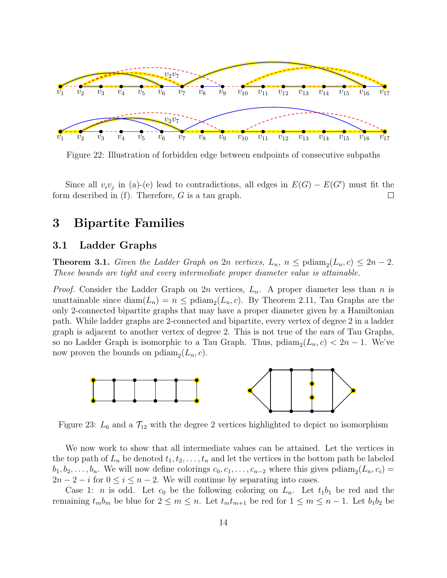

Figure 22: Illustration of forbidden edge between endpoints of consecutive subpaths

Since all  $v_i v_j$  in (a)-(e) lead to contradictions, all edges in  $E(G) - E(G')$  must fit the form described in  $(f)$ . Therefore, G is a tau graph.  $\Box$ 

### 3 Bipartite Families

### 3.1 Ladder Graphs

**Theorem 3.1.** Given the Ladder Graph on  $2n$  vertices,  $L_n$ ,  $n \leq \text{pdiam}_2(L_n, c) \leq 2n - 2$ . These bounds are tight and every intermediate proper diameter value is attainable.

*Proof.* Consider the Ladder Graph on 2n vertices,  $L_n$ . A proper diameter less than n is unattainable since  $\text{diam}(L_n) = n \leq \text{pdim}_2(L_n, c)$ . By Theorem 2.11, Tau Graphs are the only 2-connected bipartite graphs that may have a proper diameter given by a Hamiltonian path. While ladder graphs are 2-connected and bipartite, every vertex of degree 2 in a ladder graph is adjacent to another vertex of degree 2. This is not true of the ears of Tau Graphs, so no Ladder Graph is isomorphic to a Tau Graph. Thus,  $\text{p} \text{diam}_2(L_n, c) < 2n - 1$ . We've now proven the bounds on  $\text{pdiam}_2(L_n, c)$ .



Figure 23:  $L_6$  and a  $\mathcal{T}_{12}$  with the degree 2 vertices highlighted to depict no isomorphism

We now work to show that all intermediate values can be attained. Let the vertices in the top path of  $L_n$  be denoted  $t_1, t_2, \ldots, t_n$  and let the vertices in the bottom path be labeled  $b_1, b_2, \ldots, b_n$ . We will now define colorings  $c_0, c_1, \ldots, c_{n-2}$  where this gives pdiam<sub>2</sub>( $L_n, c_i$ ) =  $2n-2-i$  for  $0 \leq i \leq n-2$ . We will continue by separating into cases.

Case 1: *n* is odd. Let  $c_0$  be the following coloring on  $L_n$ . Let  $t_1b_1$  be red and the remaining  $t_m b_m$  be blue for  $2 \leq m \leq n$ . Let  $t_m t_{m+1}$  be red for  $1 \leq m \leq n-1$ . Let  $b_1 b_2$  be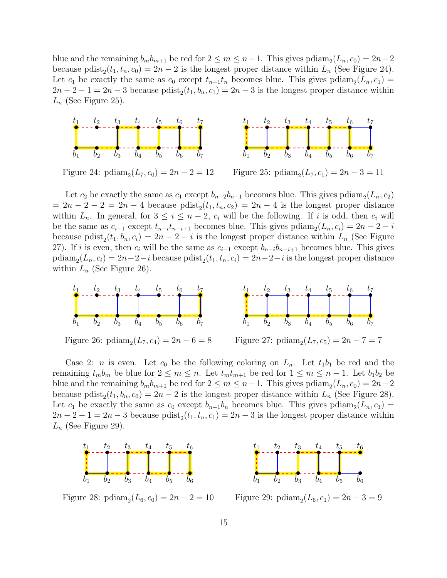blue and the remaining  $b_m b_{m+1}$  be red for  $2 \le m \le n-1$ . This gives  $\text{pdiam}_2(L_n, c_0) = 2n-2$ because pdist<sub>2</sub> $(t_1, t_n, c_0) = 2n - 2$  is the longest proper distance within  $L_n$  (See Figure 24). Let  $c_1$  be exactly the same as  $c_0$  except  $t_{n-1}t_n$  becomes blue. This gives  $\text{p}diam_2(L_n, c_1) =$  $2n-2-1=2n-3$  because  $\text{pdist}_2(t_1, b_n, c_1) = 2n-3$  is the longest proper distance within  $L_n$  (See Figure 25).



Figure 24:  $\text{pdiam}_2(L_7, c_0) = 2n - 2 = 12$ 

Figure 25:  $\text{p} \text{diam}_2(L_7, c_1) = 2n - 3 = 11$ 

Let  $c_2$  be exactly the same as  $c_1$  except  $b_{n-2}b_{n-1}$  becomes blue. This gives pdiam<sub>2</sub>( $L_n, c_2$ )  $= 2n - 2 - 2 = 2n - 4$  because  $\text{pdist}_2(t_1, t_n, c_2) = 2n - 4$  is the longest proper distance within  $L_n$ . In general, for  $3 \leq i \leq n-2$ ,  $c_i$  will be the following. If i is odd, then  $c_i$  will be the same as  $c_{i-1}$  except  $t_{n-i}t_{n-i+1}$  becomes blue. This gives  $\text{p}diam_2(L_n, c_i) = 2n - 2 - i$ because politorial  $L_n$ ,  $c_i$ ) = 2n - 2 - i is the longest proper distance within  $L_n$  (See Figure 27). If i is even, then  $c_i$  will be the same as  $c_{i-1}$  except  $b_{n-i}b_{n-i+1}$  becomes blue. This gives  $\text{p} \text{diam}_2(L_n, c_i) = 2n - 2 - i \text{ because } \text{p} \text{dist}_2(t_1, t_n, c_i) = 2n - 2 - i \text{ is the longest proper distance}$ within  $L_n$  (See Figure 26).



Figure 26:  $\text{p} \text{diam}_2(L_7, c_4) = 2n - 6 = 8$ 

Figure 27:  $\text{pdiam}_2(L_7, c_5) = 2n - 7 = 7$ 

Case 2: *n* is even. Let  $c_0$  be the following coloring on  $L_n$ . Let  $t_1b_1$  be red and the remaining  $t_m b_m$  be blue for  $2 \leq m \leq n$ . Let  $t_m t_{m+1}$  be red for  $1 \leq m \leq n-1$ . Let  $b_1 b_2$  be blue and the remaining  $b_m b_{m+1}$  be red for  $2 \le m \le n-1$ . This gives  $\text{pdiam}_2(L_n, c_0) = 2n-2$ because pdist<sub>2</sub> $(t_1, b_n, c_0) = 2n - 2$  is the longest proper distance within  $L_n$  (See Figure 28). Let  $c_1$  be exactly the same as  $c_0$  except  $b_{n-1}b_n$  becomes blue. This gives pdiam<sub>2</sub>( $L_n, c_1$ ) =  $2n-2-1=2n-3$  because  $\text{pdist}_2(t_1, t_n, c_1) = 2n-3$  is the longest proper distance within  $L_n$  (See Figure 29).



Figure 28:  $\text{pdiam}_2(L_6, c_0) = 2n - 2 = 10$ 



Figure 29:  $\text{p} \text{diam}_2(L_6, c_1) = 2n - 3 = 9$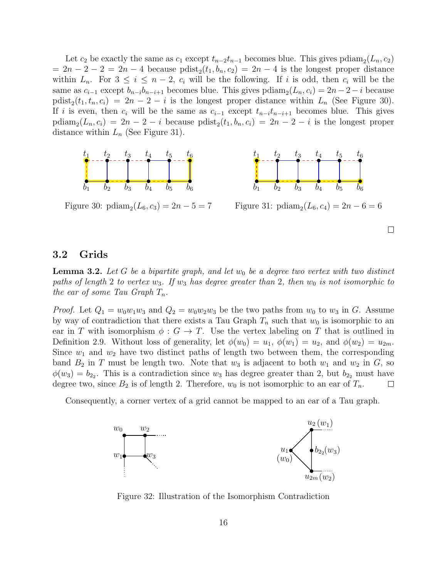Let  $c_2$  be exactly the same as  $c_1$  except  $t_{n-2}t_{n-1}$  becomes blue. This gives pdiam<sub>2</sub>( $L_n, c_2$ )  $= 2n - 2 - 2 = 2n - 4$  because  $\text{pdist}_2(t_1, b_n, c_2) = 2n - 4$  is the longest proper distance within  $L_n$ . For  $3 \leq i \leq n-2$ ,  $c_i$  will be the following. If i is odd, then  $c_i$  will be the same as  $c_{i-1}$  except  $b_{n-i}b_{n-i+1}$  becomes blue. This gives  $\text{p}diam_2(L_n, c_i) = 2n - 2 - i$  because pdist<sub>2</sub> $(t_1, t_n, c_i) = 2n - 2 - i$  is the longest proper distance within  $L_n$  (See Figure 30). If i is even, then  $c_i$  will be the same as  $c_{i-1}$  except  $t_{n-i}t_{n-i+1}$  becomes blue. This gives  $\text{p} \text{diam}_2(L_n, c_i) = 2n - 2 - i \text{ because } \text{p} \text{dist}_2(t_1, b_n, c_i) = 2n - 2 - i \text{ is the longest proper }$ distance within  $L_n$  (See Figure 31).





Figure 30:  $\text{p} \text{diam}_2(L_6, c_3) = 2n - 5 = 7$ 

Figure 31:  $\text{p} \text{diam}_2(L_6, c_4) = 2n - 6 = 6$ 

 $\Box$ 

### 3.2 Grids

**Lemma 3.2.** Let G be a bipartite graph, and let  $w_0$  be a degree two vertex with two distinct paths of length 2 to vertex  $w_3$ . If  $w_3$  has degree greater than 2, then  $w_0$  is not isomorphic to the ear of some Tau Graph  $T_n$ .

*Proof.* Let  $Q_1 = w_0w_1w_3$  and  $Q_2 = w_0w_2w_3$  be the two paths from  $w_0$  to  $w_3$  in G. Assume by way of contradiction that there exists a Tau Graph  $T_n$  such that  $w_0$  is isomorphic to an ear in T with isomorphism  $\phi: G \to T$ . Use the vertex labeling on T that is outlined in Definition 2.9. Without loss of generality, let  $\phi(w_0) = u_1, \phi(w_1) = u_2$ , and  $\phi(w_2) = u_{2m}$ . Since  $w_1$  and  $w_2$  have two distinct paths of length two between them, the corresponding band  $B_2$  in T must be length two. Note that  $w_3$  is adjacent to both  $w_1$  and  $w_2$  in  $G$ , so  $\phi(w_3) = b_{2_2}$ . This is a contradiction since  $w_3$  has degree greater than 2, but  $b_{2_2}$  must have degree two, since  $B_2$  is of length 2. Therefore,  $w_0$  is not isomorphic to an ear of  $T_n$ .  $\Box$ 

Consequently, a corner vertex of a grid cannot be mapped to an ear of a Tau graph.



Figure 32: Illustration of the Isomorphism Contradiction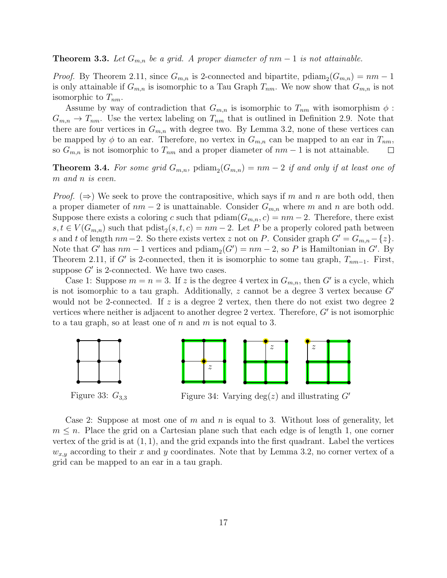#### **Theorem 3.3.** Let  $G_{m,n}$  be a grid. A proper diameter of  $nm-1$  is not attainable.

*Proof.* By Theorem 2.11, since  $G_{m,n}$  is 2-connected and bipartite, political  $(G_{m,n}) = nm - 1$ is only attainable if  $G_{m,n}$  is isomorphic to a Tau Graph  $T_{nm}$ . We now show that  $G_{m,n}$  is not isomorphic to  $T_{nm}$ .

Assume by way of contradiction that  $G_{m,n}$  is isomorphic to  $T_{nm}$  with isomorphism  $\phi$ :  $G_{m,n} \to T_{nm}$ . Use the vertex labeling on  $T_{nm}$  that is outlined in Definition 2.9. Note that there are four vertices in  $G_{m,n}$  with degree two. By Lemma 3.2, none of these vertices can be mapped by  $\phi$  to an ear. Therefore, no vertex in  $G_{m,n}$  can be mapped to an ear in  $T_{nm}$ , so  $G_{m,n}$  is not isomorphic to  $T_{nm}$  and a proper diameter of  $nm-1$  is not attainable.  $\Box$ 

**Theorem 3.4.** For some grid  $G_{m,n}$ ,  $p \text{diam}_2(G_{m,n}) = nm - 2$  if and only if at least one of m and n is even.

*Proof.* ( $\Rightarrow$ ) We seek to prove the contrapositive, which says if m and n are both odd, then a proper diameter of  $nm-2$  is unattainable. Consider  $G_{m,n}$  where m and n are both odd. Suppose there exists a coloring c such that  $\text{p}diam(G_{m,n}, c) = nm - 2$ . Therefore, there exist  $s, t \in V(G_{m,n})$  such that  $\text{pdist}_2(s, t, c) = nm - 2$ . Let P be a properly colored path between s and t of length  $nm-2$ . So there exists vertex z not on P. Consider graph  $G' = G_{m,n} - \{z\}$ . Note that G' has  $nm-1$  vertices and  $\text{p} \text{diam}_2(G') = nm-2$ , so P is Hamiltonian in G'. By Theorem 2.11, if G' is 2-connected, then it is isomorphic to some tau graph,  $T_{nm-1}$ . First, suppose  $G'$  is 2-connected. We have two cases.

Case 1: Suppose  $m = n = 3$ . If z is the degree 4 vertex in  $G_{m,n}$ , then G' is a cycle, which is not isomorphic to a tau graph. Additionally, z cannot be a degree 3 vertex because  $G'$ would not be 2-connected. If z is a degree 2 vertex, then there do not exist two degree 2 vertices where neither is adjacent to another degree  $2$  vertex. Therefore,  $G'$  is not isomorphic to a tau graph, so at least one of n and m is not equal to 3.



Figure 33:  $G_{3,3}$ 

Figure 34: Varying deg(z) and illustrating  $G'$ 

Case 2: Suppose at most one of m and n is equal to 3. Without loss of generality, let  $m \leq n$ . Place the grid on a Cartesian plane such that each edge is of length 1, one corner vertex of the grid is at  $(1, 1)$ , and the grid expands into the first quadrant. Label the vertices  $w_{x,y}$  according to their x and y coordinates. Note that by Lemma 3.2, no corner vertex of a grid can be mapped to an ear in a tau graph.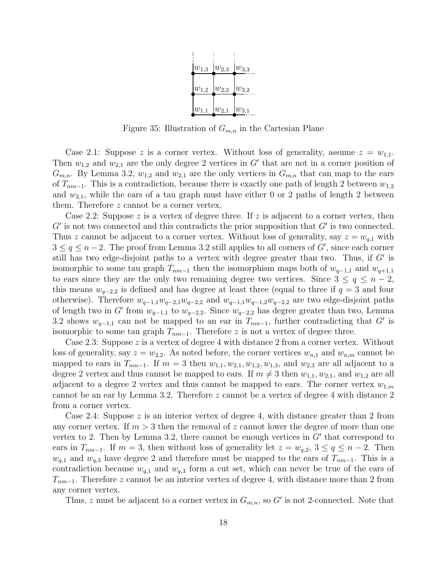

Figure 35: Illustration of  $G_{m,n}$  in the Cartesian Plane

Case 2.1: Suppose z is a corner vertex. Without loss of generality, assume  $z = w_{1,1}$ . Then  $w_{1,2}$  and  $w_{2,1}$  are the only degree 2 vertices in G' that are not in a corner position of  $G_{m,n}$ . By Lemma 3.2,  $w_{1,2}$  and  $w_{2,1}$  are the only vertices in  $G_{m,n}$  that can map to the ears of  $T_{nm-1}$ . This is a contradiction, because there is exactly one path of length 2 between  $w_{1,2}$ and  $w_{2,1}$ , while the ears of a tau graph must have either 0 or 2 paths of length 2 between them. Therefore z cannot be a corner vertex.

Case 2.2: Suppose z is a vertex of degree three. If z is adjacent to a corner vertex, then  $G'$  is not two connected and this contradicts the prior supposition that  $G'$  is two connected. Thus z cannot be adjacent to a corner vertex. Without loss of generality, say  $z = w_{q,1}$  with  $3 \le q \le n-2$ . The proof from Lemma 3.2 still applies to all corners of G', since each corner still has two edge-disjoint paths to a vertex with degree greater than two. Thus, if  $G'$  is isomorphic to some tau graph  $T_{nm-1}$  then the isomorphism maps both of  $w_{q-1,1}$  and  $w_{q+1,1}$ to ears since they are the only two remaining degree two vertices. Since  $3 \leq q \leq n-2$ , this means  $w_{q-2,2}$  is defined and has degree at least three (equal to three if  $q=3$  and four otherwise). Therefore  $w_{q-1,1}w_{q-2,1}w_{q-2,2}$  and  $w_{q-1,1}w_{q-1,2}w_{q-2,2}$  are two edge-disjoint paths of length two in G' from  $w_{q-1,1}$  to  $w_{q-2,2}$ . Since  $w_{q-2,2}$  has degree greater than two, Lemma 3.2 shows  $w_{q-1,1}$  can not be mapped to an ear in  $T_{nm-1}$ , further contradicting that G' is isomorphic to some tau graph  $T_{nm-1}$ . Therefore z is not a vertex of degree three.

Case 2.3: Suppose  $z$  is a vertex of degree 4 with distance 2 from a corner vertex. Without loss of generality, say  $z = w_{2,2}$ . As noted before, the corner vertices  $w_{n,1}$  and  $w_{n,m}$  cannot be mapped to ears in  $T_{nm-1}$ . If  $m = 3$  then  $w_{1,1}, w_{2,1}, w_{1,2}, w_{1,3}$ , and  $w_{2,3}$  are all adjacent to a degree 2 vertex and thus cannot be mapped to ears. If  $m \neq 3$  then  $w_{1,1}, w_{2,1}$ , and  $w_{1,2}$  are all adjacent to a degree 2 vertex and thus cannot be mapped to ears. The corner vertex  $w_{1,m}$ cannot be an ear by Lemma 3.2. Therefore z cannot be a vertex of degree 4 with distance 2 from a corner vertex.

Case 2.4: Suppose  $z$  is an interior vertex of degree 4, with distance greater than 2 from any corner vertex. If  $m > 3$  then the removal of z cannot lower the degree of more than one vertex to 2. Then by Lemma 3.2, there cannot be enough vertices in  $G'$  that correspond to ears in  $T_{nm-1}$ . If  $m = 3$ , then without loss of generality let  $z = w_{q,2}$ ,  $3 \le q \le n-2$ . Then  $w_{q,1}$  and  $w_{q,3}$  have degree 2 and therefore must be mapped to the ears of  $T_{nm-1}$ . This is a contradiction because  $w_{q,1}$  and  $w_{q,3}$  form a cut set, which can never be true of the ears of  $T_{nm-1}$ . Therefore z cannot be an interior vertex of degree 4, with distance more than 2 from any corner vertex.

Thus, z must be adjacent to a corner vertex in  $G_{m,n}$ , so G' is not 2-connected. Note that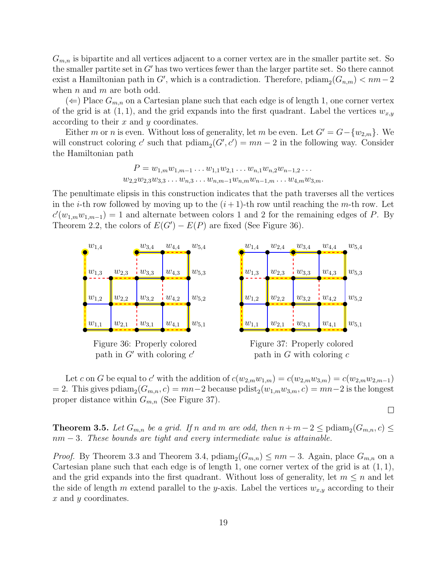$G_{m,n}$  is bipartite and all vertices adjacent to a corner vertex are in the smaller partite set. So the smaller partite set in  $G'$  has two vertices fewer than the larger partite set. So there cannot exist a Hamiltonian path in  $G'$ , which is a contradiction. Therefore,  $\text{p} \text{diam}_2(G_{n,m}) < nm-2$ when  $n$  and  $m$  are both odd.

 $(\Leftarrow)$  Place  $G_{m,n}$  on a Cartesian plane such that each edge is of length 1, one corner vertex of the grid is at  $(1, 1)$ , and the grid expands into the first quadrant. Label the vertices  $w_{x,y}$ according to their x and y coordinates.

Either m or n is even. Without loss of generality, let m be even. Let  $G' = G - \{w_{2,m}\}\.$  We will construct coloring c' such that  $\text{p}diam_2(G', c') = mn - 2$  in the following way. Consider the Hamiltonian path

> $P = w_{1,m}w_{1,m-1}\ldots w_{1,1}w_{2,1}\ldots w_{n,1}w_{n,2}w_{n-1,2}\ldots$  $w_{2,2}w_{2,3}w_{3,3}\ldots w_{n,3}\ldots w_{n,m-1}w_{n,m}w_{n-1,m}\ldots w_{4,m}w_{3,m}.$

The penultimate elipsis in this construction indicates that the path traverses all the vertices in the *i*-th row followed by moving up to the  $(i + 1)$ -th row until reaching the *m*-th row. Let  $c'(w_{1,m}w_{1,m-1}) = 1$  and alternate between colors 1 and 2 for the remaining edges of P. By Theorem 2.2, the colors of  $E(G') - E(P)$  are fixed (See Figure 36).



path in  $G$  with coloring  $c$ 

Let c on G be equal to c' with the addition of  $c(w_{2,m}w_{1,m}) = c(w_{2,m}w_{3,m}) = c(w_{2,m}w_{2,m-1})$ = 2. This gives  $\text{pdim}_2(G_{m,n}, c) = mn-2$  because  $\text{pdist}_2(w_{1,m}w_{3,m}, c) = mn-2$  is the longest proper distance within  $G_{m,n}$  (See Figure 37).

 $\Box$ 

**Theorem 3.5.** Let  $G_{m,n}$  be a grid. If n and m are odd, then  $n+m-2 \leq \text{pdiam}_2(G_{m,n}, c) \leq$  $nm - 3$ . These bounds are tight and every intermediate value is attainable.

*Proof.* By Theorem 3.3 and Theorem 3.4,  $\text{p} \text{diam}_2(G_{m,n}) \leq nm - 3$ . Again, place  $G_{m,n}$  on a Cartesian plane such that each edge is of length 1, one corner vertex of the grid is at  $(1, 1)$ , and the grid expands into the first quadrant. Without loss of generality, let  $m \leq n$  and let the side of length m extend parallel to the y-axis. Label the vertices  $w_{x,y}$  according to their x and y coordinates.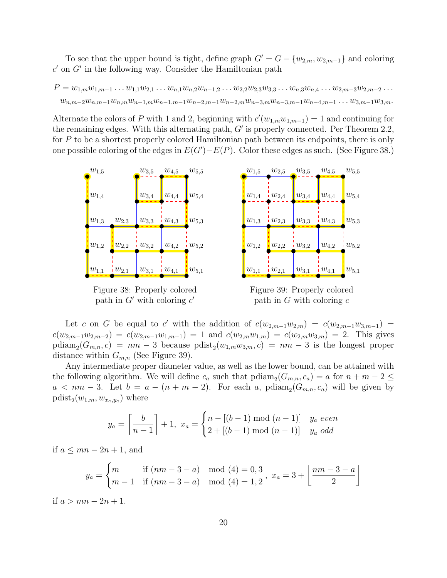To see that the upper bound is tight, define graph  $G' = G - \{w_{2,m}, w_{2,m-1}\}\$  and coloring  $c'$  on  $G'$  in the following way. Consider the Hamiltonian path

$$
P = w_{1,m}w_{1,m-1} \dots w_{1,1}w_{2,1} \dots w_{n,1}w_{n,2}w_{n-1,2} \dots w_{2,2}w_{2,3}w_{3,3} \dots w_{n,3}w_{n,4} \dots w_{2,m-3}w_{2,m-2} \dots
$$
  

$$
w_{n,m-2}w_{n,m-1}w_{n,m}w_{n-1,m}w_{n-1,m-1}w_{n-2,m-1}w_{n-2,m}w_{n-3,m}w_{n-3,m-1}w_{n-4,m-1} \dots w_{3,m-1}w_{3,m}.
$$

Alternate the colors of P with 1 and 2, beginning with  $c'(w_{1,m}w_{1,m-1}) = 1$  and continuing for the remaining edges. With this alternating path,  $G'$  is properly connected. Per Theorem 2.2, for P to be a shortest properly colored Hamiltonian path between its endpoints, there is only one possible coloring of the edges in  $E(G') - E(P)$ . Color these edges as such. (See Figure 38.)



Figure 39: Properly colored path in  $G$  with coloring  $c$ 

Let c on G be equal to c' with the addition of  $c(w_{2,m-1}w_{2,m}) = c(w_{2,m-1}w_{3,m-1})$  $c(w_{2,m-1}w_{2,m-2}) = c(w_{2,m-1}w_{1,m-1}) = 1$  and  $c(w_{2,m}w_{1,m}) = c(w_{2,m}w_{3,m}) = 2$ . This gives  $\text{p} \text{diam}_{2}(G_{m,n}, c) = nm - 3$  because  $\text{p} \text{dist}_{2}(w_{1,m}w_{3,m}, c) = nm - 3$  is the longest proper distance within  $G_{m,n}$  (See Figure 39).

Any intermediate proper diameter value, as well as the lower bound, can be attained with the following algorithm. We will define  $c_a$  such that  $\text{p}diam_2(G_{m,n}, c_a) = a$  for  $n + m - 2 \leq a$  $a < nm - 3$ . Let  $b = a - (n + m - 2)$ . For each a, pdiam<sub>2</sub>( $G_{m,n}, c_a$ ) will be given by  $\text{pdist}_2(w_{1,m}, w_{x_a,y_a})$  where

$$
y_a = \left\lceil \frac{b}{n-1} \right\rceil + 1, \ x_a = \begin{cases} n - [(b-1) \bmod (n-1)] & y_a \text{ even} \\ 2 + [(b-1) \bmod (n-1)] & y_a \text{ odd} \end{cases}
$$

if  $a \le mn - 2n + 1$ , and

path in  $G'$  with coloring  $c'$ 

$$
y_a = \begin{cases} m & \text{if } (nm - 3 - a) \mod (4) = 0, 3 \\ m - 1 & \text{if } (nm - 3 - a) \mod (4) = 1, 2 \end{cases}, x_a = 3 + \left\lfloor \frac{nm - 3 - a}{2} \right\rfloor
$$

if  $a > mn - 2n + 1$ .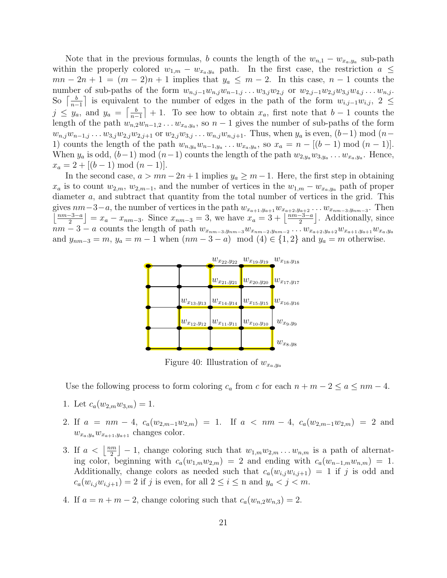Note that in the previous formulas, b counts the length of the  $w_{n,1} - w_{x_a,y_a}$  sub-path within the properly colored  $w_{1,m} - w_{x_a,y_a}$  path. In the first case, the restriction  $a \leq$  $mn - 2n + 1 = (m - 2)n + 1$  implies that  $y_a \n\t\leq m - 2$ . In this case,  $n - 1$  counts the number of sub-paths of the form  $w_{n,j-1}w_{n,j}w_{n-1,j} \ldots w_{3,j}w_{2,j}$  or  $w_{2,j-1}w_{2,j}w_{3,j}w_{4,j} \ldots w_{n,j}$ . So  $\left[\frac{b}{n}\right]$  $\frac{b}{n-1}$  is equivalent to the number of edges in the path of the form  $w_{i,j-1}w_{i,j}$ ,  $2 \leq$  $j \leq y_a$ , and  $y_a = \left[\frac{b}{n_a}\right]$  $\left\lfloor \frac{b}{n-1} \right\rfloor + 1$ . To see how to obtain  $x_a$ , first note that  $b - 1$  counts the length of the path  $w_{n,2}w_{n-1,2}\ldots w_{x_a,y_a}$ , so  $n-1$  gives the number of sub-paths of the form  $w_{n,j}w_{n-1,j}...w_{3,j}w_{2,j}w_{2,j+1}$  or  $w_{2,j}w_{3,j}...w_{n,j}w_{n,j+1}$ . Thus, when  $y_a$  is even,  $(b-1) \mod (n-p)$ 1) counts the length of the path  $w_{n,y_a}w_{n-1,y_a}\ldots w_{x_a,y_a}$ , so  $x_a = n - [(b-1) \bmod (n-1)]$ . When  $y_a$  is odd,  $(b-1) \mod (n-1)$  counts the length of the path  $w_{2,y_a}w_{3,y_a}\ldots w_{x_a,y_a}$ . Hence,  $x_a = 2 + |(b-1) \bmod (n-1)|.$ 

In the second case,  $a > mn - 2n + 1$  implies  $y_a \geq m - 1$ . Here, the first step in obtaining  $x_a$  is to count  $w_{2,m}$ ,  $w_{2,m-1}$ , and the number of vertices in the  $w_{1,m} - w_{x_a,y_a}$  path of proper diameter a, and subtract that quantity from the total number of vertices in the grid. This gives  $nm-3-a$ , the number of vertices in the path  $w_{x_{a+1},y_{a+1}}w_{x_{a+2},y_{a+2}}\ldots w_{x_{nm-3},y_{nm-3}}$ . Then  $\frac{nm-3-a}{2}$  $\left[\frac{a-3-a}{2}\right] = x_a - x_{nm-3}$ . Since  $x_{nm-3} = 3$ , we have  $x_a = 3 + \left[\frac{nm-3-a}{2}\right]$  $\frac{-3-a}{2}$ . Additionally, since  $nm-3-a$  counts the length of path  $w_{x_{nm-3},y_{nm-3}}w_{x_{nm-2},y_{nm-2}}\ldots w_{x_{a+2},y_{a+2}}w_{x_{a+1},y_{a+1}}w_{x_{a},y_{a}}$ and  $y_{nm-3} = m$ ,  $y_a = m - 1$  when  $(nm - 3 - a) \mod (4) \in \{1, 2\}$  and  $y_a = m$  otherwise.



Figure 40: Illustration of  $w_{x_a,y_a}$ 

Use the following process to form coloring  $c_a$  from c for each  $n + m - 2 \le a \le nm - 4$ .

- 1. Let  $c_a(w_{2,m}w_{3,m})=1$ .
- 2. If  $a = nm 4$ ,  $c_a(w_{2,m-1}w_{2,m}) = 1$ . If  $a < nm 4$ ,  $c_a(w_{2,m-1}w_{2,m}) = 2$  and  $w_{x_a,y_a}w_{x_{a+1},y_{a+1}}$  changes color.
- 3. If  $a < \left\lfloor \frac{nm}{2} \right\rfloor$  $\left[\frac{m}{2}\right] - 1$ , change coloring such that  $w_{1,m}w_{2,m}\ldots w_{n,m}$  is a path of alternating color, beginning with  $c_a(w_{1,m}w_{2,m}) = 2$  and ending with  $c_a(w_{n-1,m}w_{n,m}) = 1$ . Additionally, change colors as needed such that  $c_a(w_{i,j}w_{i,j+1}) = 1$  if j is odd and  $c_a(w_{i,j}w_{i,j+1}) = 2$  if j is even, for all  $2 \leq i \leq n$  and  $y_a < j < m$ .
- 4. If  $a = n + m 2$ , change coloring such that  $c_a(w_{n,2}w_{n,3}) = 2$ .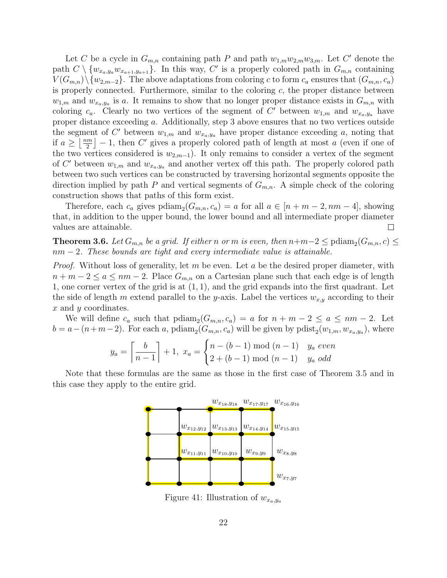Let C be a cycle in  $G_{m,n}$  containing path P and path  $w_{1,m}w_{2,m}w_{3,m}$ . Let C' denote the path  $C \setminus \{w_{x_a,y_a}w_{x_{a+1},y_{a+1}}\}$ . In this way, C' is a properly colored path in  $G_{m,n}$  containing  $V(G_{m,n})\backslash\{w_{2,m-2}\}.$  The above adaptations from coloring c to form  $c_a$  ensures that  $(G_{m,n}, c_a)$ is properly connected. Furthermore, similar to the coloring  $c$ , the proper distance between  $w_{1,m}$  and  $w_{x_a,y_a}$  is a. It remains to show that no longer proper distance exists in  $G_{m,n}$  with coloring  $c_a$ . Clearly no two vertices of the segment of C' between  $w_{1,m}$  and  $w_{x_a,y_a}$  have proper distance exceeding a. Additionally, step 3 above ensures that no two vertices outside the segment of C' between  $w_{1,m}$  and  $w_{x_a,y_a}$  have proper distance exceeding a, noting that if  $a \geq \left\lfloor \frac{nm}{2} \right\rfloor$  $\left[\frac{2m}{2}\right] - 1$ , then C' gives a properly colored path of length at most a (even if one of the two vertices considered is  $w_{2,m-1}$ ). It only remains to consider a vertex of the segment of C' between  $w_{1,m}$  and  $w_{x_a,y_a}$  and another vertex off this path. The properly colored path between two such vertices can be constructed by traversing horizontal segments opposite the direction implied by path P and vertical segments of  $G_{m,n}$ . A simple check of the coloring construction shows that paths of this form exist.

Therefore, each  $c_a$  gives  $\text{p} \text{diam}_2(G_{m,n}, c_a) = a$  for all  $a \in [n+m-2, nm-4]$ , showing that, in addition to the upper bound, the lower bound and all intermediate proper diameter values are attainable.  $\Box$ 

**Theorem 3.6.** Let  $G_{m,n}$  be a grid. If either n or m is even, then  $n+m-2 \leq \text{pdiam}_2(G_{m,n}, c) \leq$  $nm-2$ . These bounds are tight and every intermediate value is attainable.

*Proof.* Without loss of generality, let m be even. Let a be the desired proper diameter, with  $n + m - 2 \le a \le nm - 2$ . Place  $G_{m,n}$  on a Cartesian plane such that each edge is of length 1, one corner vertex of the grid is at (1, 1), and the grid expands into the first quadrant. Let the side of length m extend parallel to the y-axis. Label the vertices  $w_{x,y}$  according to their x and y coordinates.

We will define  $c_a$  such that  $\text{p}diam_2(G_{m,n}, c_a) = a$  for  $n + m - 2 \le a \le nm - 2$ . Let  $b = a - (n+m-2)$ . For each a, pdiam<sub>2</sub>( $G_{m,n}, c_a$ ) will be given by pdist<sub>2</sub>( $w_{1,m}, w_{x_a,y_a}$ ), where

$$
y_a = \left\lceil \frac{b}{n-1} \right\rceil + 1, \ x_a = \begin{cases} n - (b-1) \text{ mod } (n-1) & y_a \text{ even} \\ 2 + (b-1) \text{ mod } (n-1) & y_a \text{ odd} \end{cases}
$$

Note that these formulas are the same as those in the first case of Theorem 3.5 and in this case they apply to the entire grid.



Figure 41: Illustration of  $w_{x_a,y_a}$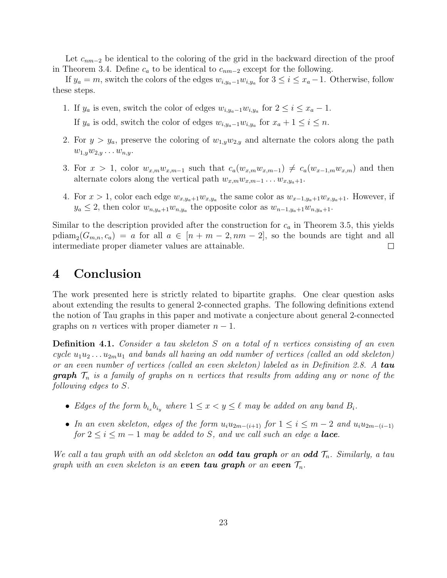Let  $c_{nm-2}$  be identical to the coloring of the grid in the backward direction of the proof in Theorem 3.4. Define  $c_a$  to be identical to  $c_{nm-2}$  except for the following.

If  $y_a = m$ , switch the colors of the edges  $w_{i,y_a-1}w_{i,y_a}$  for  $3 \leq i \leq x_a-1$ . Otherwise, follow these steps.

- 1. If  $y_a$  is even, switch the color of edges  $w_{i,y_a-1}w_{i,y_a}$  for  $2 \leq i \leq x_a 1$ . If  $y_a$  is odd, switch the color of edges  $w_{i,y_a-1}w_{i,y_a}$  for  $x_a+1 \leq i \leq n$ .
- 2. For  $y > y_a$ , preserve the coloring of  $w_{1,y}w_{2,y}$  and alternate the colors along the path  $w_{1,y}w_{2,y} \ldots w_{n,y}$ .
- 3. For  $x > 1$ , color  $w_{x,m}w_{x,m-1}$  such that  $c_a(w_{x,m}w_{x,m-1}) \neq c_a(w_{x-1,m}w_{x,m})$  and then alternate colors along the vertical path  $w_{x,m}w_{x,m-1} \ldots w_{x,y_a+1}$ .
- 4. For  $x > 1$ , color each edge  $w_{x,y_a+1}w_{x,y_a}$  the same color as  $w_{x-1,y_a+1}w_{x,y_a+1}$ . However, if  $y_a \leq 2$ , then color  $w_{n,y_a+1}w_{n,y_a}$  the opposite color as  $w_{n-1,y_a+1}w_{n,y_a+1}$ .

Similar to the description provided after the construction for  $c_a$  in Theorem 3.5, this yields  $p\text{diam}_{2}(G_{m,n}, c_{a}) = a$  for all  $a \in [n + m - 2, nm - 2]$ , so the bounds are tight and all intermediate proper diameter values are attainable.  $\Box$ 

### 4 Conclusion

The work presented here is strictly related to bipartite graphs. One clear question asks about extending the results to general 2-connected graphs. The following definitions extend the notion of Tau graphs in this paper and motivate a conjecture about general 2-connected graphs on *n* vertices with proper diameter  $n - 1$ .

**Definition 4.1.** Consider a tau skeleton S on a total of n vertices consisting of an even cycle  $u_1u_2...u_{2m}u_1$  and bands all having an odd number of vertices (called an odd skeleton) or an even number of vertices (called an even skeleton) labeled as in Definition 2.8. A tau **graph**  $\mathcal{T}_n$  is a family of graphs on n vertices that results from adding any or none of the following edges to S.

- Edges of the form  $b_{i_x}b_{i_y}$  where  $1 \leq x < y \leq \ell$  may be added on any band  $B_i$ .
- In an even skeleton, edges of the form  $u_iu_{2m-(i+1)}$  for  $1 \leq i \leq m-2$  and  $u_iu_{2m-(i-1)}$ for  $2 \leq i \leq m-1$  may be added to S, and we call such an edge a **lace**.

We call a tau graph with an odd skeleton an **odd tau graph** or an **odd**  $\mathcal{T}_n$ . Similarly, a tau graph with an even skeleton is an even tau graph or an even  $\mathcal{T}_n$ .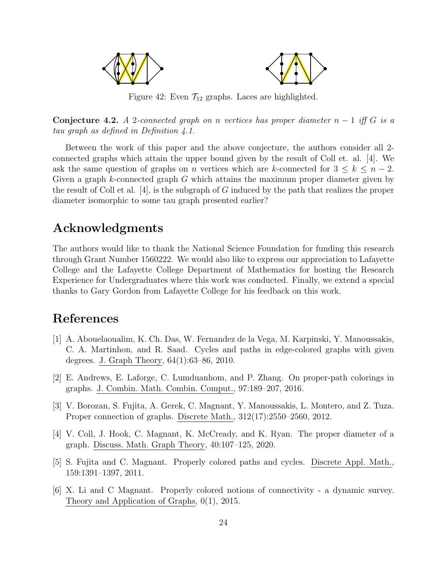

Figure 42: Even  $\mathcal{T}_{12}$  graphs. Laces are highlighted.

**Conjecture 4.2.** A 2-connected graph on n vertices has proper diameter  $n-1$  iff G is a tau graph as defined in Definition 4.1.

Between the work of this paper and the above conjecture, the authors consider all 2 connected graphs which attain the upper bound given by the result of Coll et. al. [4]. We ask the same question of graphs on n vertices which are k-connected for  $3 \leq k \leq n-2$ . Given a graph k-connected graph G which attains the maximum proper diameter given by the result of Coll et al. [4], is the subgraph of G induced by the path that realizes the proper diameter isomorphic to some tau graph presented earlier?

## Acknowledgments

The authors would like to thank the National Science Foundation for funding this research through Grant Number 1560222. We would also like to express our appreciation to Lafayette College and the Lafayette College Department of Mathematics for hosting the Research Experience for Undergraduates where this work was conducted. Finally, we extend a special thanks to Gary Gordon from Lafayette College for his feedback on this work.

# References

- [1] A. Abouelaoualim, K. Ch. Das, W. Fernandez de la Vega, M. Karpinski, Y. Manoussakis, C. A. Martinhon, and R. Saad. Cycles and paths in edge-colored graphs with given degrees. J. Graph Theory, 64(1):63–86, 2010.
- [2] E. Andrews, E. Laforge, C. Lumduanhom, and P. Zhang. On proper-path colorings in graphs. J. Combin. Math. Combin. Comput., 97:189–207, 2016.
- [3] V. Borozan, S. Fujita, A. Gerek, C. Magnant, Y. Manoussakis, L. Montero, and Z. Tuza. Proper connection of graphs. Discrete Math., 312(17):2550–2560, 2012.
- [4] V. Coll, J. Hook, C. Magnant, K. McCready, and K. Ryan. The proper diameter of a graph. Discuss. Math. Graph Theory, 40:107–125, 2020.
- [5] S. Fujita and C. Magnant. Properly colored paths and cycles. Discrete Appl. Math., 159:1391–1397, 2011.
- [6] X. Li and C Magnant. Properly colored notions of connectivity a dynamic survey. Theory and Application of Graphs, 0(1), 2015.